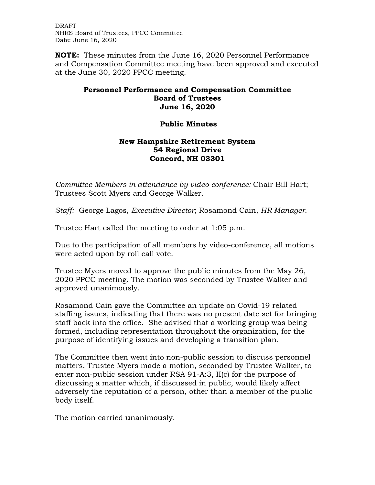DRAFT NHRS Board of Trustees, PPCC Committee Date: June 16, 2020

**NOTE:** These minutes from the June 16, 2020 Personnel Performance and Compensation Committee meeting have been approved and executed at the June 30, 2020 PPCC meeting.

## **Personnel Performance and Compensation Committee Board of Trustees June 16, 2020**

## **Public Minutes**

## **New Hampshire Retirement System 54 Regional Drive Concord, NH 03301**

*Committee Members in attendance by video-conference:* Chair Bill Hart; Trustees Scott Myers and George Walker.

*Staff:* George Lagos, *Executive Director*; Rosamond Cain, *HR Manager*.

Trustee Hart called the meeting to order at 1:05 p.m.

Due to the participation of all members by video-conference, all motions were acted upon by roll call vote.

Trustee Myers moved to approve the public minutes from the May 26, 2020 PPCC meeting. The motion was seconded by Trustee Walker and approved unanimously.

Rosamond Cain gave the Committee an update on Covid-19 related staffing issues, indicating that there was no present date set for bringing staff back into the office. She advised that a working group was being formed, including representation throughout the organization, for the purpose of identifying issues and developing a transition plan.

The Committee then went into non-public session to discuss personnel matters. Trustee Myers made a motion, seconded by Trustee Walker, to enter non-public session under RSA 91-A:3, II(c) for the purpose of discussing a matter which, if discussed in public, would likely affect adversely the reputation of a person, other than a member of the public body itself.

The motion carried unanimously.